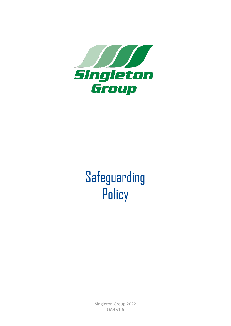

# Safeguarding **Policy**

Singleton Group 2022 QA9 v1.6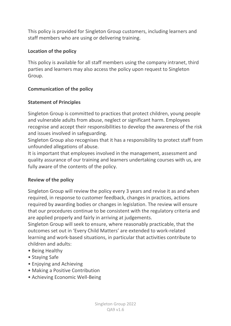This policy is provided for Singleton Group customers, including learners and staff members who are using or delivering training.

## **Location of the policy**

This policy is available for all staff members using the company intranet, third parties and learners may also access the policy upon request to Singleton Group.

## **Communication of the policy**

## **Statement of Principles**

Singleton Group is committed to practices that protect children, young people and vulnerable adults from abuse, neglect or significant harm. Employees recognise and accept their responsibilities to develop the awareness of the risk and issues involved in safeguarding.

Singleton Group also recognises that it has a responsibility to protect staff from unfounded allegations of abuse.

It is important that employees involved in the management, assessment and quality assurance of our training and learners undertaking courses with us, are fully aware of the contents of the policy.

#### **Review of the policy**

Singleton Group will review the policy every 3 years and revise it as and when required, in response to customer feedback, changes in practices, actions required by awarding bodies or changes in legislation. The review will ensure that our procedures continue to be consistent with the regulatory criteria and are applied properly and fairly in arriving at judgements.

Singleton Group will seek to ensure, where reasonably practicable, that the outcomes set out in 'Every Child Matters' are extended to work-related learning and work-based situations, in particular that activities contribute to children and adults:

- Being Healthy
- Staying Safe
- Enjoying and Achieving
- Making a Positive Contribution
- Achieving Economic Well-Being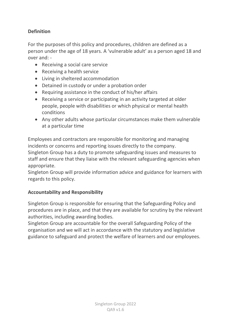# **Definition**

For the purposes of this policy and procedures, children are defined as a person under the age of 18 years. A 'vulnerable adult' as a person aged 18 and over and: -

- Receiving a social care service
- Receiving a health service
- Living in sheltered accommodation
- Detained in custody or under a probation order
- Requiring assistance in the conduct of his/her affairs
- Receiving a service or participating in an activity targeted at older people, people with disabilities or which physical or mental health conditions
- Any other adults whose particular circumstances make them vulnerable at a particular time

Employees and contractors are responsible for monitoring and managing incidents or concerns and reporting issues directly to the company.

Singleton Group has a duty to promote safeguarding issues and measures to staff and ensure that they liaise with the relevant safeguarding agencies when appropriate.

Singleton Group will provide information advice and guidance for learners with regards to this policy.

#### **Accountability and Responsibility**

Singleton Group is responsible for ensuring that the Safeguarding Policy and procedures are in place, and that they are available for scrutiny by the relevant authorities, including awarding bodies.

Singleton Group are accountable for the overall Safeguarding Policy of the organisation and we will act in accordance with the statutory and legislative guidance to safeguard and protect the welfare of learners and our employees.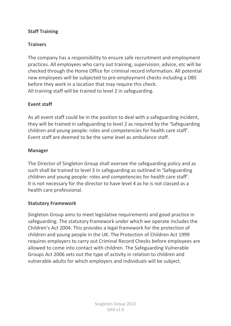## **Staff Training**

## **Trainers**

The company has a responsibility to ensure safe recruitment and employment practices. All employees who carry out training, supervision, advice, etc will be checked through the Home Office for criminal record information. All potential new employees will be subjected to pre-employment checks including a DBS before they work in a location that may require this check. All training staff will be trained to level 2 in safeguarding.

#### **Event staff**

As all event staff could be in the position to deal with a safeguarding incident, they will be trained in safeguarding to level 2 as required by the 'Safeguarding children and young people: roles and competencies for health care staff'. Event staff are deemed to be the same level as ambulance staff.

#### **Manager**

The Director of Singleton Group shall oversee the safeguarding policy and as such shall be trained to level 3 in safeguarding as outlined in 'Safeguarding children and young people: roles and competencies for health care staff'. It is not necessary for the director to have level 4 as he is not classed as a health care professional.

#### **Statutory Framework**

Singleton Group aims to meet legislative requirements and good practice in safeguarding. The statutory framework under which we operate includes the Children's Act 2004. This provides a legal framework for the protection of children and young people in the UK. The Protection of Children Act 1999 requires employers to carry out Criminal Record Checks before employees are allowed to come into contact with children. The Safeguarding Vulnerable Groups Act 2006 sets out the type of activity in relation to children and vulnerable adults for which employers and individuals will be subject.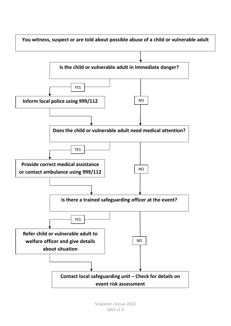